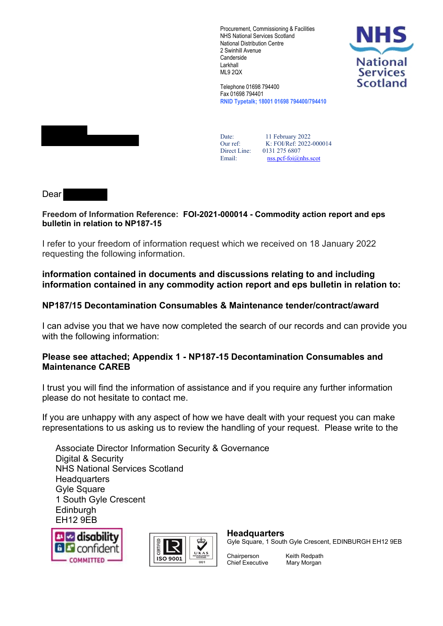Procurement, Commissioning & Facilities NHS National Services Scotland National Distribution Centre 2 Swinhill Avenue **Canderside** Larkhall ML9 2QX



Telephone 01698 794400 Fax 01698 794401 **RNID Typetalk; 18001 01698 794400/794410**



Date: Our ref: Direct Line: 0131 275 6807 11 February 2022 K: FOI/Ref: 2022-000014 Email: [nss.pcf-foi@nhs.scot](mailto:nss.pcf-foi@nhs.scot)

Dear

## **Freedom of Information Reference: FOI-2021-000014 - Commodity action report and eps bulletin in relation to NP187-15**

I refer to your freedom of information request which we received on 18 January 2022 requesting the following information.

# **information contained in documents and discussions relating to and including information contained in any commodity action report and eps bulletin in relation to:**

# **NP187/15 Decontamination Consumables & Maintenance tender/contract/award**

I can advise you that we have now completed the search of our records and can provide you with the following information:

# **Please see attached; Appendix 1 - NP187-15 Decontamination Consumables and Maintenance CAREB**

I trust you will find the information of assistance and if you require any further information please do not hesitate to contact me.

If you are unhappy with any aspect of how we have dealt with your request you can make representations to us asking us to review the handling of your request. Please write to the

Associate Director Information Security & Governance Digital & Security NHS National Services Scotland **Headquarters** Gyle Square 1 South Gyle Crescent **Edinburgh** EH12 9EB





## **Headquarters**

Gyle Square, 1 South Gyle Crescent, EDINBURGH EH12 9EB

Chief Executive Mary Morgan

Chairperson Keith Redpath